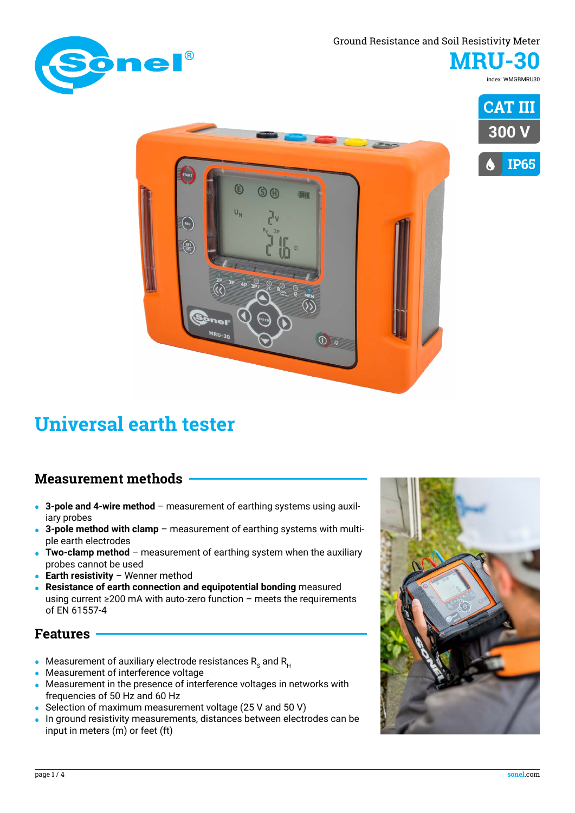#### Ground Resistance and Soil Resistivity Meter



**MRU-30** index: WMGBMRU30





#### **Measurement methods**

**• 3-pole and 4-wire method** – measurement of earthing systems using auxiliary probes

 $\mathbf{\hat{E}}$ 

 $\left(\begin{matrix} 1 & 1 \\ 1 & 1 \end{matrix}\right)$ 

 $\frac{\sqrt{136}}{\sqrt{561}}$ 

 $S$  (i)

in.

 $\overline{\mathbb{O}}$ 

- **• 3-pole method with clamp** measurement of earthing systems with multiple earth electrodes
- **• Two-clamp method** measurement of earthing system when the auxiliary probes cannot be used
- **• Earth resistivity** Wenner method
- **• Resistance of earth connection and equipotential bonding** measured using current ≥200 mA with auto-zero function – meets the requirements of EN 61557-4

#### **Features**

- Measurement of auxiliary electrode resistances R<sub>s</sub> and R<sub>u</sub>
- **•** Measurement of interference voltage
- **•** Measurement in the presence of interference voltages in networks with frequencies of 50 Hz and 60 Hz
- **•** Selection of maximum measurement voltage (25 V and 50 V)
- **•** In ground resistivity measurements, distances between electrodes can be input in meters (m) or feet (ft)

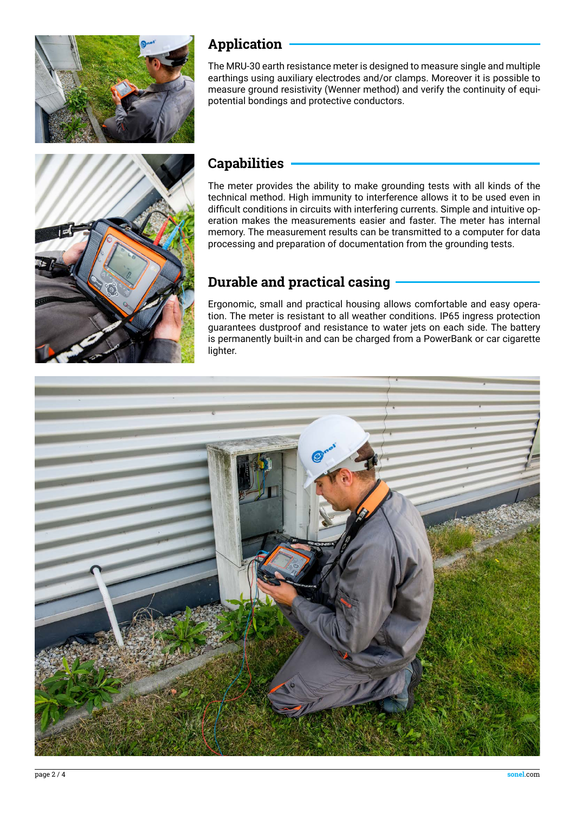

#### **Application**

The MRU-30 earth resistance meter is designed to measure single and multiple earthings using auxiliary electrodes and/or clamps. Moreover it is possible to measure ground resistivity (Wenner method) and verify the continuity of equipotential bondings and protective conductors.



### **Capabilities**

The meter provides the ability to make grounding tests with all kinds of the technical method. High immunity to interference allows it to be used even in difficult conditions in circuits with interfering currents. Simple and intuitive operation makes the measurements easier and faster. The meter has internal memory. The measurement results can be transmitted to a computer for data processing and preparation of documentation from the grounding tests.

# **Durable and practical casing**

Ergonomic, small and practical housing allows comfortable and easy operation. The meter is resistant to all weather conditions. IP65 ingress protection guarantees dustproof and resistance to water jets on each side. The battery is permanently built-in and can be charged from a PowerBank or car cigarette lighter.

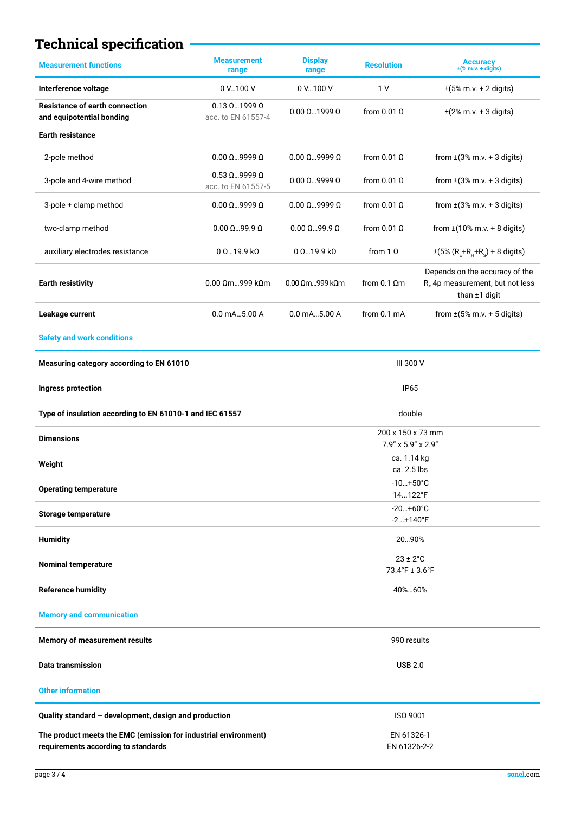# **Technical specification**

| <b>Measurement functions</b>                                                                           | <b>Measurement</b><br>range                       | <b>Display</b><br>range                 | <b>Resolution</b>    | Accuracy<br>$\pm$ (% m.v. + digits)                                                   |
|--------------------------------------------------------------------------------------------------------|---------------------------------------------------|-----------------------------------------|----------------------|---------------------------------------------------------------------------------------|
| Interference voltage                                                                                   | 0 V 100 V                                         | 0 V100 V                                | 1 <sub>V</sub>       | $\pm(5\% \text{ m.v.} + 2 \text{ digits})$                                            |
| <b>Resistance of earth connection</b><br>and equipotential bonding                                     | $0.13 \Omega$ 1999 $\Omega$<br>acc. to EN 61557-4 | $0.00 \Omega$ 1999 $\Omega$             | from $0.01 \Omega$   | $\pm$ (2% m.v. + 3 digits)                                                            |
| <b>Earth resistance</b>                                                                                |                                                   |                                         |                      |                                                                                       |
| 2-pole method                                                                                          | $0.00 \Omega$ 9999 $\Omega$                       | $0.00 \Omega$ 9999 $\Omega$             | from $0.01$ $\Omega$ | from $\pm$ (3% m.v. + 3 digits)                                                       |
| 3-pole and 4-wire method                                                                               | $0.53 \Omega$ 9999 $\Omega$<br>acc. to EN 61557-5 | $0.00 \Omega$ 9999 $\Omega$             | from $0.01 \Omega$   | from $\pm$ (3% m.v. + 3 digits)                                                       |
| 3-pole + clamp method                                                                                  | $0.00 \Omega$ 9999 $\Omega$                       | $0.00 \Omega$ 9999 $\Omega$             | from $0.01 \Omega$   | from $\pm$ (3% m.v. + 3 digits)                                                       |
| two-clamp method                                                                                       | $0.00 \Omega$ 99.9 $\Omega$                       | $0.00 \Omega$ 99.9 $\Omega$             | from $0.01 \Omega$   | from $\pm(10\% \text{ m.v.} + 8 \text{ digits})$                                      |
| auxiliary electrodes resistance                                                                        | 0 Ω…19.9 kΩ                                       | $0\Omega$ 19.9 k $\Omega$               | from $1 \Omega$      | $\pm (5\% (R_{F} + R_{H} + R_{S}) + 8$ digits)                                        |
| <b>Earth resistivity</b>                                                                               | $0.00 \Omega$ m999 k $\Omega$ m                   | $0.00 \Omega$ m999 k $\Omega$ m         | from $0.1 \Omega$ m  | Depends on the accuracy of the<br>$R_F$ 4p measurement, but not less<br>than ±1 digit |
| Leakage current                                                                                        | $0.0$ mA $$ 5.00 A                                | $0.0$ mA $$ 5.00 A                      | from 0.1 mA          | from $\pm(5\% \text{ m.v.} + 5 \text{ digits})$                                       |
| <b>Safety and work conditions</b>                                                                      |                                                   |                                         |                      |                                                                                       |
| Measuring category according to EN 61010                                                               |                                                   | III 300 V                               |                      |                                                                                       |
| <b>Ingress protection</b>                                                                              |                                                   | <b>IP65</b>                             |                      |                                                                                       |
| Type of insulation according to EN 61010-1 and IEC 61557                                               |                                                   | double                                  |                      |                                                                                       |
| <b>Dimensions</b>                                                                                      |                                                   | 200 x 150 x 73 mm<br>7.9" x 5.9" x 2.9" |                      |                                                                                       |
| Weight                                                                                                 |                                                   | ca. 1.14 kg<br>ca. 2.5 lbs              |                      |                                                                                       |
| <b>Operating temperature</b>                                                                           |                                                   | $-10+50^{\circ}C$<br>14122°F            |                      |                                                                                       |
| <b>Storage temperature</b>                                                                             |                                                   | $-20+60°C$                              |                      |                                                                                       |
| $-2+140$ °F<br><b>Humidity</b><br>2090%                                                                |                                                   |                                         |                      |                                                                                       |
| $23 \pm 2^{\circ}$ C                                                                                   |                                                   |                                         |                      |                                                                                       |
| <b>Nominal temperature</b>                                                                             | 73.4°F ± 3.6°F                                    |                                         |                      |                                                                                       |
| <b>Reference humidity</b>                                                                              |                                                   | 40%60%                                  |                      |                                                                                       |
| <b>Memory and communication</b>                                                                        |                                                   |                                         |                      |                                                                                       |
| Memory of measurement results                                                                          |                                                   | 990 results                             |                      |                                                                                       |
| <b>Data transmission</b>                                                                               |                                                   | <b>USB 2.0</b>                          |                      |                                                                                       |
| <b>Other information</b>                                                                               |                                                   |                                         |                      |                                                                                       |
| Quality standard - development, design and production                                                  |                                                   | ISO 9001                                |                      |                                                                                       |
| The product meets the EMC (emission for industrial environment)<br>requirements according to standards |                                                   | EN 61326-1<br>EN 61326-2-2              |                      |                                                                                       |